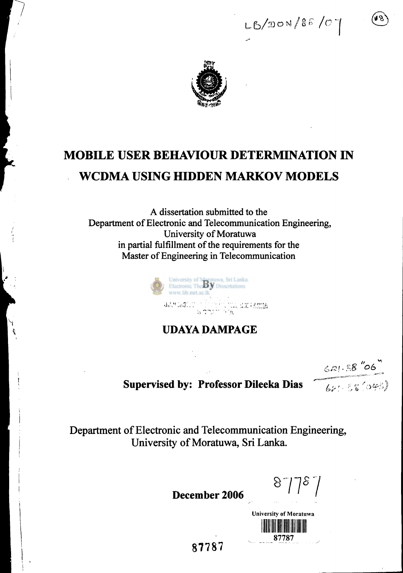$LB/DON/86/07$ 



# **MOBILE USER BEHAVIOUR DETERMINATION IN WCDMA USING HIDDEN MARKOV MODELS**

**A dissertation submitted to the Department of Electronic and Telecommunication Engineering, University of Moratuwa in partial fulfillment of the requirements for the Master of Engineering in Telecommunication** 



**UDAYA DAMPAGE** 

 $621.58''06$ 

**Supervised by: Professor Dileeka Dias**  $\begin{bmatrix} 62 & 66 \\ 20 & 16 \end{bmatrix}$ 

**Department of Electronic and Telecommunication Engineering, University of Moratuwa, Sri Lanka.** 

**December 2006** 

 $8778.$ 

**University of Moratuwa ANTI DE BELLA DE LA PERSONA DE LA PERSONA DEL BELLA DE LA PERSONA DEL BELLA DE LA PERSONA DE LA PERSONA DE LA** 87787

**87787**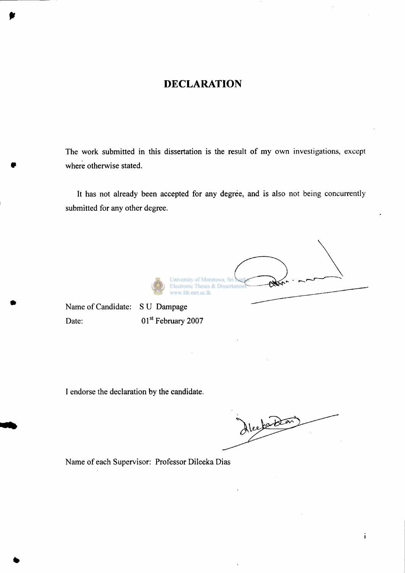#### **DECLARATION**

The work submitted in this dissertation is the result of my own investigations, except where otherwise stated.

It has not already been accepted for any degree, and is also not being concurrently submitted for any other degree.

of Moratuwa, Sri tronic Theses & Dissertati w.lib.mrt.ac.lk

Name of Candidate: S U Dampage Date: 01st February 2007

I endorse the declaration by the candidate.

Alcefood

 $\mathbf{i}$ 

Name of each Supervisor: Professor Dileeka Dias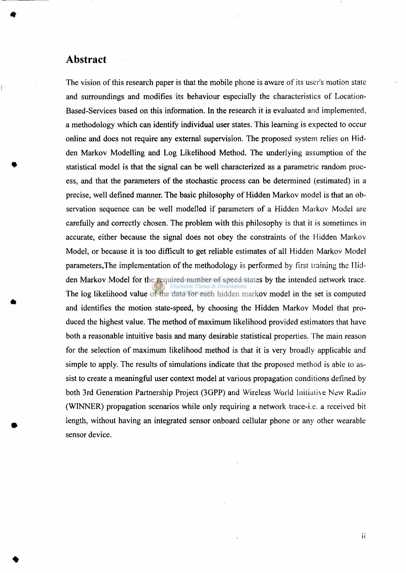#### **Abstract**

The vision of this research paper is that the mobile phone is aware of its user's motion state and surroundings and modifies its behaviour especially the characteristics of Location-Based-Services based on this information. In the research it is evaluated and implemented, a methodology which can identify individual user states. This learning is expected to occur online and does not require any external supervision. The proposed system relies on Hidden Markov Modelling and Log Likelihood Method. The underlying assumption of the statistical model is that the signal can be well characterized as a parametric random process, and that the parameters of the stochastic process can be determined (estimated) in a precise, well defined manner. The basic philosophy of Hidden Markov model is that an observation sequence can be well modelled if parameters of a Hidden Markov Model are carefully and correctly chosen. The problem with this philosophy is that it is sometimes in accurate, either because the signal does not obey the constraints of the Hidden Markov Model, or because it is too difficult to get reliable estimates of all Hidden Markov Model parameters.The implementation of the methodology is performed by first training the Hidden Markov Model for the required number of speed states by the intended network trace. The log likelihood value of the data for each hidden markov model in the set is computed and identifies the motion state-speed, by choosing the Hidden Markov Model that produced the highest value. The method of maximum likelihood provided estimators that have both a reasonable intuitive basis and many desirable statistical properties. The main reason for the selection of maximum likelihood method is that it is very broadly applicable and simple to apply. The results of simulations indicate that the proposed method is able to assist to create a meaningful user context model at various propagation conditions defined by both 3rd Generation Partnership Project (3GPP) and Wireless World Initiative New Radio (WINNER) propagation scenarios while only requiring a network trace-i.e. a received bit length, without having an integrated sensor onboard cellular phone or any other wearable sensor device.

ii.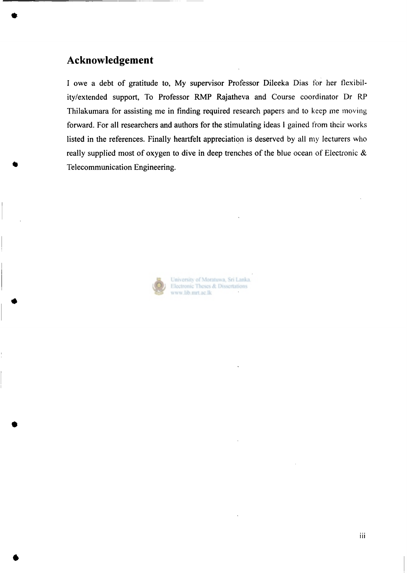#### **Acknowledgement**

I owe a debt of gratitude to, My supervisor Professor Dileeka Dias for her flexibility/extended support, To Professor RMP Rajatheva and Course coordinator Dr RP Thilakumara for assisting me in finding required research papers and to keep me moving forward. For all researchers and authors for the stimulating ideas 1 gained from their works listed in the references. Finally heartfelt appreciation is deserved by all my lecturers who really supplied most of oxygen to dive in deep trenches of the blue ocean of Electronic & Telecommunication Engineering.



University of Moratuwa, Sri Lanka. Electronic Theses & Dissertations www.lib.mrt.ac.lk

iii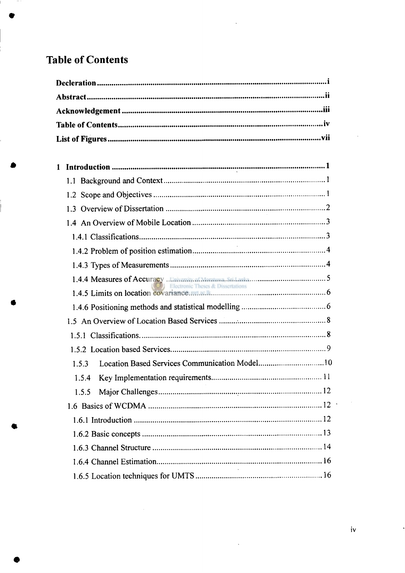### **Table of Contents**

| 1                                                      |
|--------------------------------------------------------|
|                                                        |
|                                                        |
|                                                        |
|                                                        |
|                                                        |
|                                                        |
|                                                        |
|                                                        |
| Electronic Theses & Dissertations                      |
|                                                        |
|                                                        |
|                                                        |
|                                                        |
| Location Based Services Communication Model10<br>1.5.3 |
| 1.5.4                                                  |
| 1.5.5                                                  |
|                                                        |
|                                                        |
|                                                        |
|                                                        |
|                                                        |
|                                                        |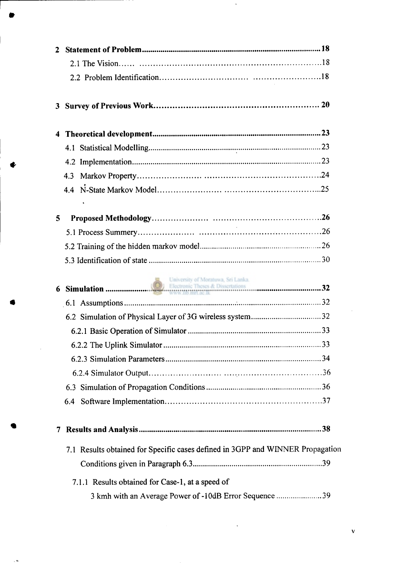|   | $\mathbf{2}$                                                                   |  |
|---|--------------------------------------------------------------------------------|--|
|   |                                                                                |  |
|   |                                                                                |  |
|   |                                                                                |  |
|   | 4                                                                              |  |
|   |                                                                                |  |
| d |                                                                                |  |
|   |                                                                                |  |
|   |                                                                                |  |
|   | $\overline{\mathbf{5}}$                                                        |  |
|   |                                                                                |  |
|   |                                                                                |  |
|   |                                                                                |  |
|   |                                                                                |  |
|   |                                                                                |  |
|   |                                                                                |  |
|   |                                                                                |  |
|   |                                                                                |  |
|   |                                                                                |  |
|   |                                                                                |  |
|   |                                                                                |  |
|   |                                                                                |  |
|   | 7                                                                              |  |
|   | 7.1 Results obtained for Specific cases defined in 3GPP and WINNER Propagation |  |
|   |                                                                                |  |
|   | 7.1.1 Results obtained for Case-1, at a speed of                               |  |
|   | 3 kmh with an Average Power of -10dB Error Sequence 39                         |  |

v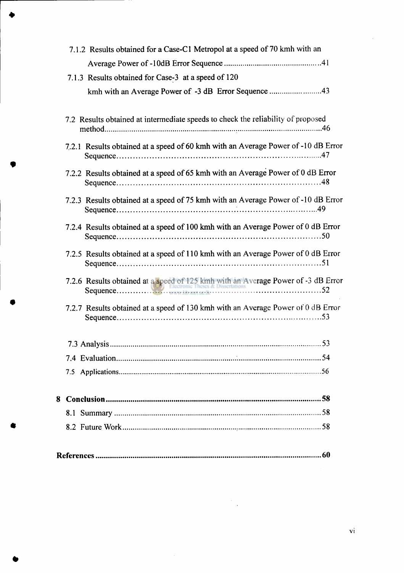| 7.1.2 Results obtained for a Case-C1 Metropol at a speed of 70 kmh with an        |
|-----------------------------------------------------------------------------------|
|                                                                                   |
| 7.1.3 Results obtained for Case-3 at a speed of 120                               |
| kmh with an Average Power of -3 dB Error Sequence 43                              |
|                                                                                   |
| 7.2 Results obtained at intermediate speeds to check the reliability of proposed  |
| 7.2.1 Results obtained at a speed of 60 kmh with an Average Power of -10 dB Error |
| 7.2.2 Results obtained at a speed of 65 kmh with an Average Power of 0 dB Error   |
| 7.2.3 Results obtained at a speed of 75 kmh with an Average Power of -10 dB Error |
| 7.2.4 Results obtained at a speed of 100 kmh with an Average Power of 0 dB Error  |
| 7.2.5 Results obtained at a speed of 110 kmh with an Average Power of 0 dB Error  |
|                                                                                   |
| 7.2.7 Results obtained at a speed of 130 kmh with an Average Power of 0 dB Error  |
|                                                                                   |
|                                                                                   |
|                                                                                   |
|                                                                                   |
|                                                                                   |
|                                                                                   |
|                                                                                   |
|                                                                                   |

 $\sim$ 

 $\bar{\beta}$ 

 $\vec{v}$